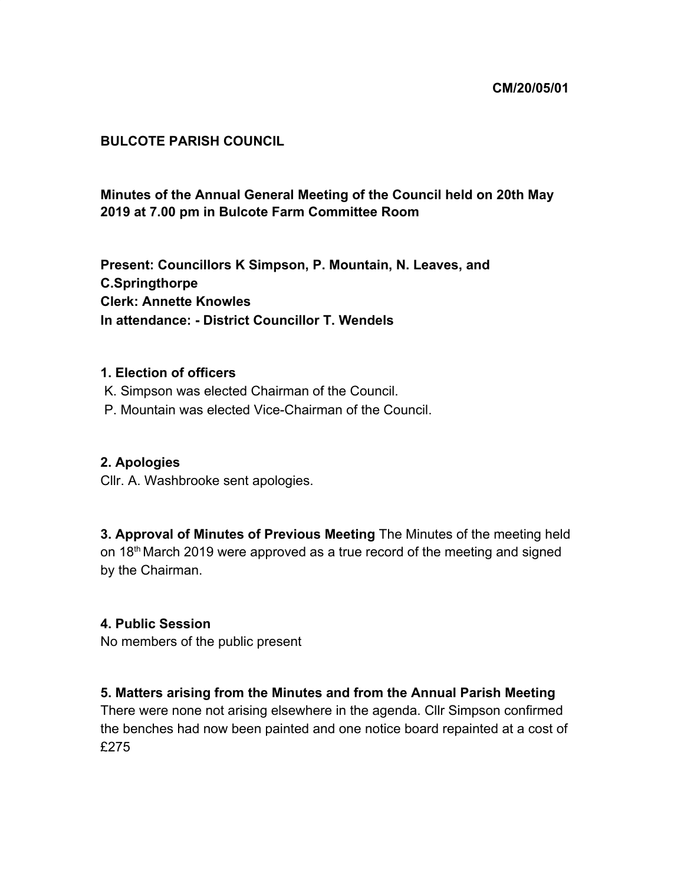#### **CM/20/05/01**

### **BULCOTE PARISH COUNCIL**

# **Minutes of the Annual General Meeting of the Council held on 20th May 2019 at 7.00 pm in Bulcote Farm Committee Room**

**Present: Councillors K Simpson, P. Mountain, N. Leaves, and C.Springthorpe Clerk: Annette Knowles In attendance: - District Councillor T. Wendels**

#### **1. Election of officers**

- K. Simpson was elected Chairman of the Council.
- P. Mountain was elected Vice-Chairman of the Council.

### **2. Apologies**

Cllr. A. Washbrooke sent apologies.

**3. Approval of Minutes of Previous Meeting** The Minutes of the meeting held on 18<sup>th</sup> March 2019 were approved as a true record of the meeting and signed by the Chairman.

#### **4. Public Session**

No members of the public present

### **5. Matters arising from the Minutes and from the Annual Parish Meeting**

There were none not arising elsewhere in the agenda. Cllr Simpson confirmed the benches had now been painted and one notice board repainted at a cost of £275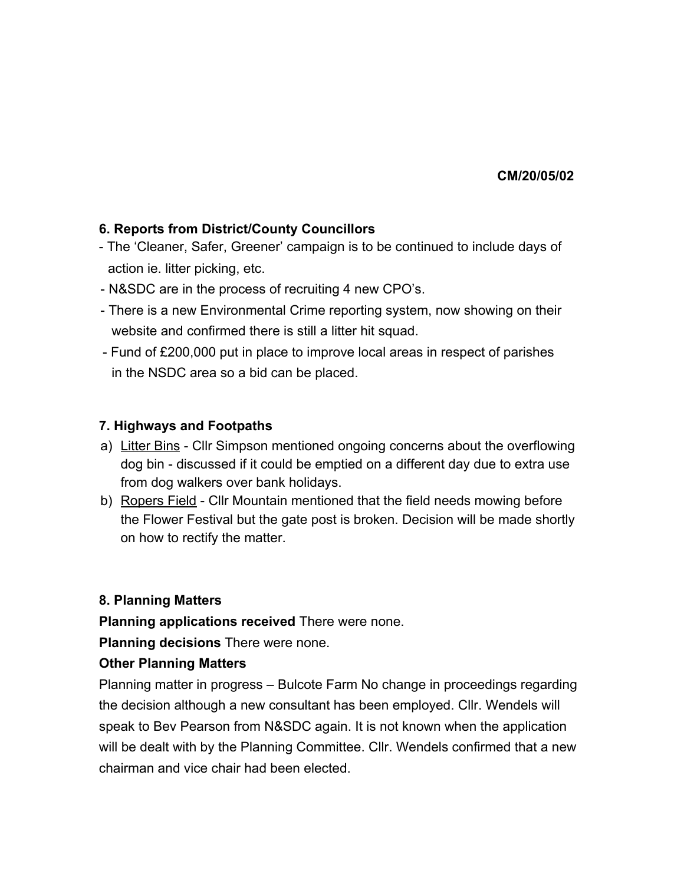**CM/20/05/02**

## **6. Reports from District/County Councillors**

- The 'Cleaner, Safer, Greener' campaign is to be continued to include days of action ie. litter picking, etc.
- N&SDC are in the process of recruiting 4 new CPO's.
- There is a new Environmental Crime reporting system, now showing on their website and confirmed there is still a litter hit squad.
- Fund of £200,000 put in place to improve local areas in respect of parishes in the NSDC area so a bid can be placed.

### **7. Highways and Footpaths**

- a) Litter Bins Cllr Simpson mentioned ongoing concerns about the overflowing dog bin - discussed if it could be emptied on a different day due to extra use from dog walkers over bank holidays.
- b) Ropers Field Cllr Mountain mentioned that the field needs mowing before the Flower Festival but the gate post is broken. Decision will be made shortly on how to rectify the matter.

### **8. Planning Matters**

**Planning applications received** There were none.

**Planning decisions** There were none.

### **Other Planning Matters**

Planning matter in progress – Bulcote Farm No change in proceedings regarding the decision although a new consultant has been employed. Cllr. Wendels will speak to Bev Pearson from N&SDC again. It is not known when the application will be dealt with by the Planning Committee. Cllr. Wendels confirmed that a new chairman and vice chair had been elected.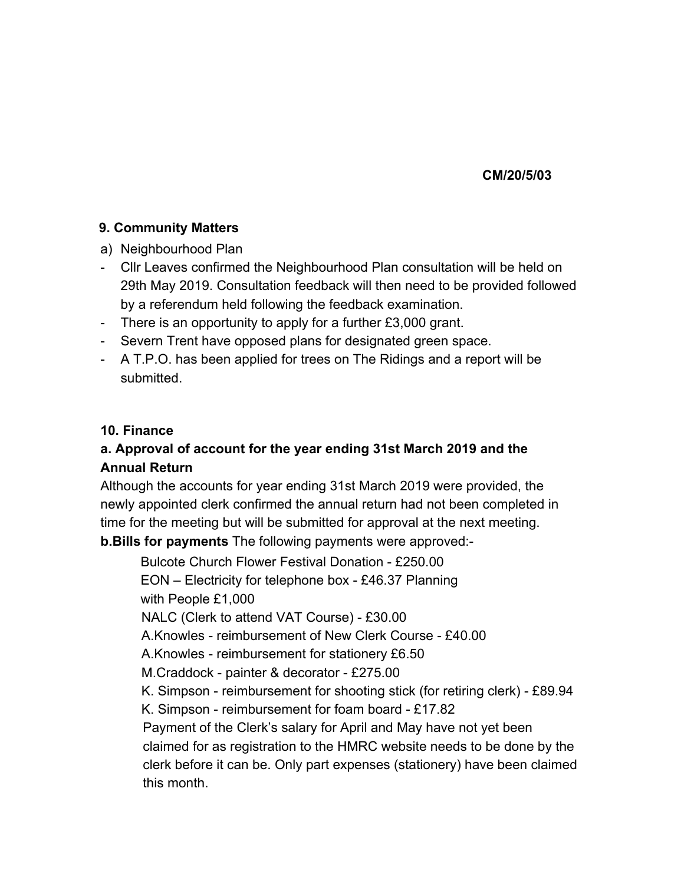#### **CM/20/5/03**

### **9. Community Matters**

- a) Neighbourhood Plan
- Cllr Leaves confirmed the Neighbourhood Plan consultation will be held on 29th May 2019. Consultation feedback will then need to be provided followed by a referendum held following the feedback examination.
- There is an opportunity to apply for a further £3,000 grant.
- Severn Trent have opposed plans for designated green space.
- A T.P.O. has been applied for trees on The Ridings and a report will be submitted.

### **10. Finance**

# **a. Approval of account for the year ending 31st March 2019 and the Annual Return**

Although the accounts for year ending 31st March 2019 were provided, the newly appointed clerk confirmed the annual return had not been completed in time for the meeting but will be submitted for approval at the next meeting. **b.Bills for payments** The following payments were approved:-

Bulcote Church Flower Festival Donation - £250.00 EON – Electricity for telephone box - £46.37 Planning with People £1,000 NALC (Clerk to attend VAT Course) - £30.00 A.Knowles - reimbursement of New Clerk Course - £40.00 A.Knowles - reimbursement for stationery £6.50 M.Craddock - painter & decorator - £275.00 K. Simpson - reimbursement for shooting stick (for retiring clerk) - £89.94 K. Simpson - reimbursement for foam board - £17.82 Payment of the Clerk's salary for April and May have not yet been claimed for as registration to the HMRC website needs to be done by the clerk before it can be. Only part expenses (stationery) have been claimed this month.